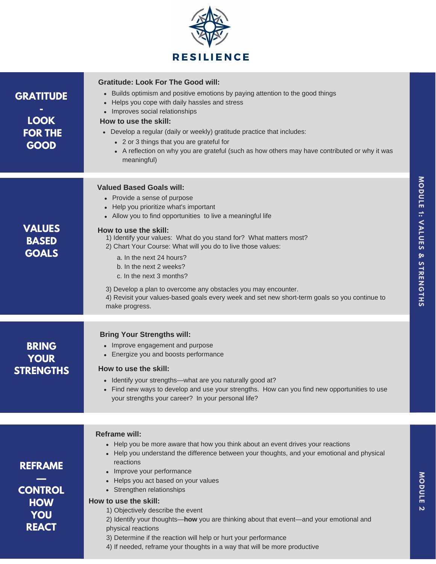

| <b>GRATITUDE</b><br><b>LOOK</b><br><b>FOR THE</b>                     | <b>Gratitude: Look For The Good will:</b><br>• Builds optimism and positive emotions by paying attention to the good things<br>Helps you cope with daily hassles and stress<br>$\bullet$<br>Improves social relationships<br>How to use the skill:<br>• Develop a regular (daily or weekly) gratitude practice that includes:                                                                                                                                                                                                                                                                                                                          |
|-----------------------------------------------------------------------|--------------------------------------------------------------------------------------------------------------------------------------------------------------------------------------------------------------------------------------------------------------------------------------------------------------------------------------------------------------------------------------------------------------------------------------------------------------------------------------------------------------------------------------------------------------------------------------------------------------------------------------------------------|
| <b>GOOD</b>                                                           | • 2 or 3 things that you are grateful for<br>• A reflection on why you are grateful (such as how others may have contributed or why it was<br>meaningful)                                                                                                                                                                                                                                                                                                                                                                                                                                                                                              |
| <b>VALUES</b><br><b>BASED</b><br><b>GOALS</b>                         | <b>Valued Based Goals will:</b><br>• Provide a sense of purpose<br>Help you prioritize what's important<br>• Allow you to find opportunities to live a meaningful life<br>How to use the skill:<br>1) Identify your values: What do you stand for? What matters most?<br>2) Chart Your Course: What will you do to live those values:<br>a. In the next 24 hours?<br>b. In the next 2 weeks?<br>c. In the next 3 months?<br>3) Develop a plan to overcome any obstacles you may encounter.<br>4) Revisit your values-based goals every week and set new short-term goals so you continue to                                                            |
|                                                                       | make progress.                                                                                                                                                                                                                                                                                                                                                                                                                                                                                                                                                                                                                                         |
| <b>BRING</b><br><b>YOUR</b><br><b>STRENGTHS</b>                       | <b>Bring Your Strengths will:</b><br>• Improve engagement and purpose<br>• Energize you and boosts performance<br>How to use the skill:<br>Identify your strengths—what are you naturally good at?<br>$\bullet$<br>Find new ways to develop and use your strengths. How can you find new opportunities to use<br>your strengths your career? In your personal life?                                                                                                                                                                                                                                                                                    |
|                                                                       |                                                                                                                                                                                                                                                                                                                                                                                                                                                                                                                                                                                                                                                        |
| <b>REFRAME</b><br><b>CONTROL</b><br><b>HOW</b><br>YOU<br><b>REACT</b> | <b>Reframe will:</b><br>• Help you be more aware that how you think about an event drives your reactions<br>• Help you understand the difference between your thoughts, and your emotional and physical<br>reactions<br>• Improve your performance<br>• Helps you act based on your values<br>• Strengthen relationships<br>How to use the skill:<br>1) Objectively describe the event<br>2) Identify your thoughts-how you are thinking about that event-and your emotional and<br>physical reactions<br>3) Determine if the reaction will help or hurt your performance<br>4) If needed, reframe your thoughts in a way that will be more productive |